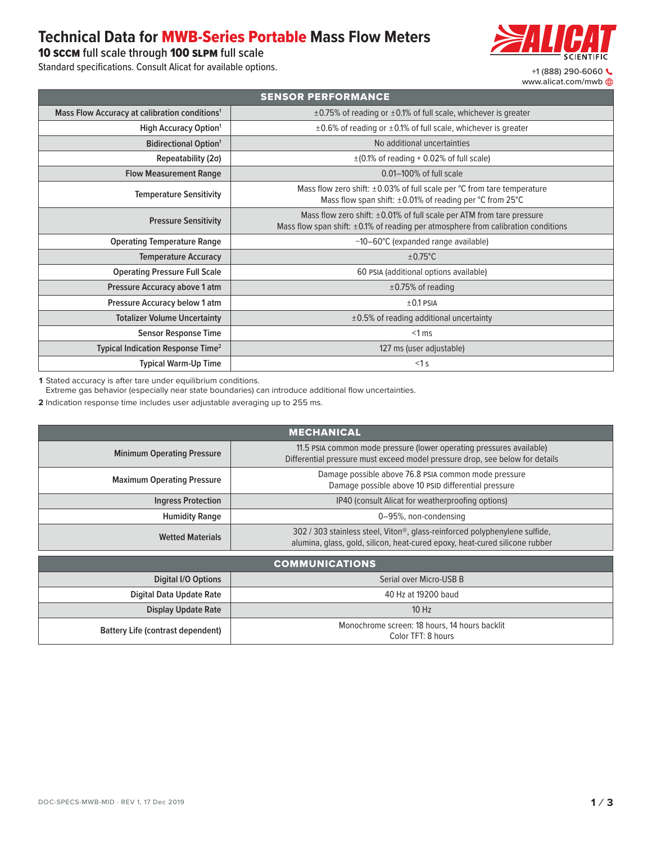## **Technical Data for** MWB-Series Portable **Mass Flow Meters**

10 sccm **full scale through** 100 slpm **full scale**

Standard specifications. Consult Alicat for available options. <br>
+1 (888) 290-6060



| <b>SENSOR PERFORMANCE</b>                                 |                                                                                                                                                                  |  |  |  |  |
|-----------------------------------------------------------|------------------------------------------------------------------------------------------------------------------------------------------------------------------|--|--|--|--|
| Mass Flow Accuracy at calibration conditions <sup>1</sup> | $\pm$ 0.75% of reading or $\pm$ 0.1% of full scale, whichever is greater                                                                                         |  |  |  |  |
| <b>High Accuracy Option</b> <sup>1</sup>                  | ±0.6% of reading or ±0.1% of full scale, whichever is greater                                                                                                    |  |  |  |  |
| <b>Bidirectional Option</b> <sup>1</sup>                  | No additional uncertainties                                                                                                                                      |  |  |  |  |
| Repeatability (2σ)                                        | $\pm$ (0.1% of reading + 0.02% of full scale)                                                                                                                    |  |  |  |  |
| <b>Flow Measurement Range</b>                             | $0.01-100\%$ of full scale                                                                                                                                       |  |  |  |  |
| <b>Temperature Sensitivity</b>                            | Mass flow zero shift: $\pm 0.03\%$ of full scale per °C from tare temperature<br>Mass flow span shift: $\pm 0.01\%$ of reading per °C from 25°C                  |  |  |  |  |
| <b>Pressure Sensitivity</b>                               | Mass flow zero shift: ±0.01% of full scale per ATM from tare pressure<br>Mass flow span shift: $\pm 0.1\%$ of reading per atmosphere from calibration conditions |  |  |  |  |
| <b>Operating Temperature Range</b>                        | $-10-60^{\circ}$ C (expanded range available)                                                                                                                    |  |  |  |  |
| <b>Temperature Accuracy</b>                               | $\pm 0.75^{\circ}$ C                                                                                                                                             |  |  |  |  |
| <b>Operating Pressure Full Scale</b>                      | 60 PSIA (additional options available)                                                                                                                           |  |  |  |  |
| Pressure Accuracy above 1 atm                             | $\pm$ 0.75% of reading                                                                                                                                           |  |  |  |  |
| Pressure Accuracy below 1 atm                             | $\pm 0.1$ PSIA                                                                                                                                                   |  |  |  |  |
| <b>Totalizer Volume Uncertainty</b>                       | $\pm 0.5\%$ of reading additional uncertainty                                                                                                                    |  |  |  |  |
| Sensor Response Time                                      | $< 1$ ms                                                                                                                                                         |  |  |  |  |
| Typical Indication Response Time <sup>2</sup>             | 127 ms (user adjustable)                                                                                                                                         |  |  |  |  |
| <b>Typical Warm-Up Time</b>                               | $<1$ s                                                                                                                                                           |  |  |  |  |

**1** Stated accuracy is after tare under equilibrium conditions.

Extreme gas behavior (especially near state boundaries) can introduce additional flow uncertainties.

**2** Indication response time includes user adjustable averaging up to 255 ms.

| <b>MECHANICAL</b>                 |                                                                                                                                                           |  |  |  |  |
|-----------------------------------|-----------------------------------------------------------------------------------------------------------------------------------------------------------|--|--|--|--|
| <b>Minimum Operating Pressure</b> | 11.5 PSIA common mode pressure (lower operating pressures available)<br>Differential pressure must exceed model pressure drop, see below for details      |  |  |  |  |
| <b>Maximum Operating Pressure</b> | Damage possible above 76.8 PSIA common mode pressure<br>Damage possible above 10 PSID differential pressure                                               |  |  |  |  |
| <b>Ingress Protection</b>         | IP40 (consult Alicat for weatherproofing options)                                                                                                         |  |  |  |  |
| <b>Humidity Range</b>             | 0-95%, non-condensing                                                                                                                                     |  |  |  |  |
| <b>Wetted Materials</b>           | 302 / 303 stainless steel, Viton®, glass-reinforced polyphenylene sulfide,<br>alumina, glass, gold, silicon, heat-cured epoxy, heat-cured silicone rubber |  |  |  |  |
|                                   |                                                                                                                                                           |  |  |  |  |

| <b>COMMUNICATIONS</b>                          |                                                                     |  |  |  |  |
|------------------------------------------------|---------------------------------------------------------------------|--|--|--|--|
| Digital I/O Options<br>Serial over Micro-USB B |                                                                     |  |  |  |  |
| Digital Data Update Rate                       | 40 Hz at 19200 baud                                                 |  |  |  |  |
| <b>Display Update Rate</b>                     | $10$ Hz                                                             |  |  |  |  |
| <b>Battery Life (contrast dependent)</b>       | Monochrome screen: 18 hours, 14 hours backlit<br>Color TFT: 8 hours |  |  |  |  |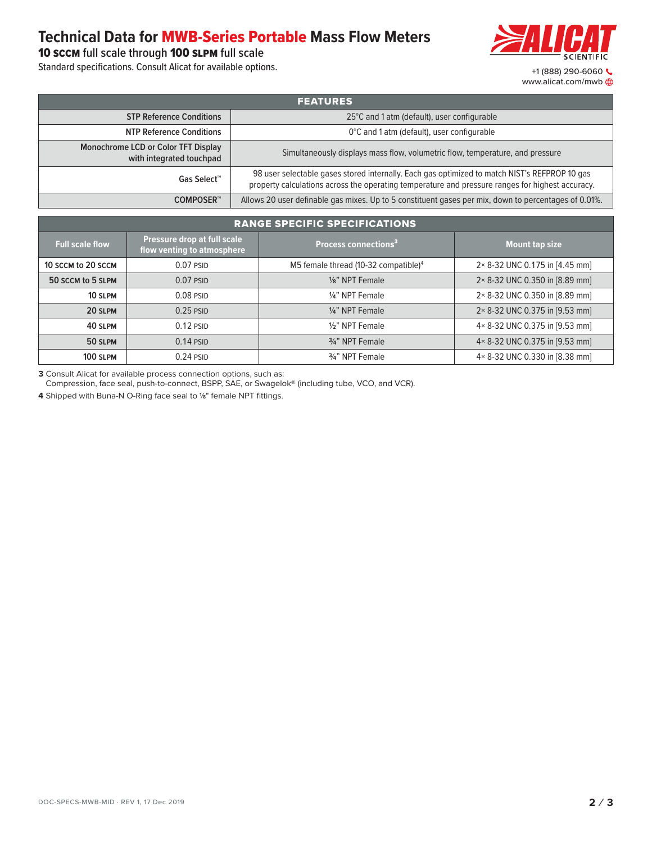## **Technical Data for** MWB-Series Portable **Mass Flow Meters**

10 sccm **full scale through** 100 slpm **full scale**

Standard specifications. Consult Alicat for available options. <br>
+1 (888) 290-6060



| <b>FEATURES</b>                                                        |                                                                                                                                                                                                   |  |  |  |
|------------------------------------------------------------------------|---------------------------------------------------------------------------------------------------------------------------------------------------------------------------------------------------|--|--|--|
| <b>STP Reference Conditions</b>                                        | 25°C and 1 atm (default), user configurable                                                                                                                                                       |  |  |  |
| <b>NTP Reference Conditions</b>                                        | 0°C and 1 atm (default), user configurable                                                                                                                                                        |  |  |  |
| <b>Monochrome LCD or Color TFT Display</b><br>with integrated touchpad | Simultaneously displays mass flow, volumetric flow, temperature, and pressure                                                                                                                     |  |  |  |
| Gas Select™                                                            | 98 user selectable gases stored internally. Each gas optimized to match NIST's REFPROP 10 gas<br>property calculations across the operating temperature and pressure ranges for highest accuracy. |  |  |  |
| COMPOSER™                                                              | Allows 20 user definable gas mixes. Up to 5 constituent gases per mix, down to percentages of 0.01%.                                                                                              |  |  |  |

## **EXAMPLE SPECIFIC SPECIFICATIONS**

| <b>Full scale flow</b> | Pressure drop at full scale<br>flow venting to atmosphere | Process connections <sup>3</sup>                 | <b>Mount tap size</b>          |  |  |
|------------------------|-----------------------------------------------------------|--------------------------------------------------|--------------------------------|--|--|
| 10 SCCM to 20 SCCM     | $0.07$ PSID                                               | M5 female thread (10-32 compatible) <sup>4</sup> | 2× 8-32 UNC 0.175 in [4.45 mm] |  |  |
| 50 SCCM to 5 SLPM      | $0.07$ PSID                                               | 1/8" NPT Female                                  | 2×8-32 UNC 0.350 in [8.89 mm]  |  |  |
| 10 SLPM                | $0.08$ PSID                                               | 1/4" NPT Female                                  | 2×8-32 UNC 0.350 in [8.89 mm]  |  |  |
| 20 SLPM                | $0.25$ PSID                                               | 1/4" NPT Female                                  | 2×8-32 UNC 0.375 in [9.53 mm]  |  |  |
| 40 SLPM                | $0.12$ PSID                                               | 1/ <sub>2</sub> " NPT Female                     | 4×8-32 UNC 0.375 in [9.53 mm]  |  |  |
| 50 SLPM                | $0.14$ PSID                                               | 3/4" NPT Female                                  | 4×8-32 UNC 0.375 in [9.53 mm]  |  |  |
| 100 SLPM               | $0.24$ PSID                                               | 3/4" NPT Female                                  | 4×8-32 UNC 0.330 in [8.38 mm]  |  |  |

**3** Consult Alicat for available process connection options, such as:

Compression, face seal, push-to-connect, BSPP, SAE, or Swagelok® (including tube, VCO, and VCR).

**4** Shipped with Buna-N O-Ring face seal to **1/8**" female NPT fittings.